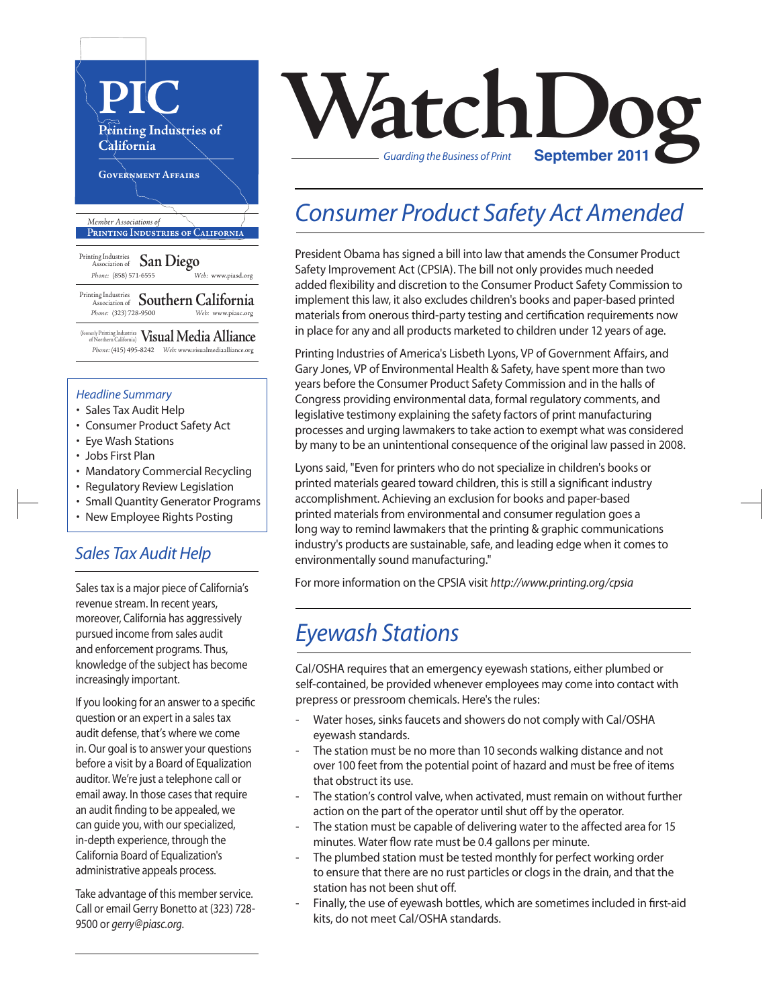

### *Headline Summary*

- Sales Tax Audit Help
- Consumer Product Safety Act
- Eye Wash Stations
- Jobs First Plan
- Mandatory Commercial Recycling
- Regulatory Review Legislation
- Small Quantity Generator Programs
- New Employee Rights Posting

### *Sales Tax Audit Help*

Sales tax is a major piece of California's revenue stream. In recent years, moreover, California has aggressively pursued income from sales audit and enforcement programs. Thus, knowledge of the subject has become increasingly important.

If you looking for an answer to a specific question or an expert in a sales tax audit defense, that's where we come in. Our goal is to answer your questions before a visit by a Board of Equalization auditor. We're just a telephone call or email away. In those cases that require an audit finding to be appealed, we can guide you, with our specialized, in-depth experience, through the California Board of Equalization's administrative appeals process.

Take advantage of this member service. Call or email Gerry Bonetto at (323) 728- 9500 or *gerry@piasc.org*.



## *Consumer Product Safety Act Amended*

President Obama has signed a bill into law that amends the Consumer Product Safety Improvement Act (CPSIA). The bill not only provides much needed added flexibility and discretion to the Consumer Product Safety Commission to implement this law, it also excludes children's books and paper-based printed materials from onerous third-party testing and certification requirements now in place for any and all products marketed to children under 12 years of age.

Printing Industries of America's Lisbeth Lyons, VP of Government Affairs, and Gary Jones, VP of Environmental Health & Safety, have spent more than two years before the Consumer Product Safety Commission and in the halls of Congress providing environmental data, formal regulatory comments, and legislative testimony explaining the safety factors of print manufacturing processes and urging lawmakers to take action to exempt what was considered by many to be an unintentional consequence of the original law passed in 2008.

Lyons said, "Even for printers who do not specialize in children's books or printed materials geared toward children, this is still a significant industry accomplishment. Achieving an exclusion for books and paper-based printed materials from environmental and consumer regulation goes a long way to remind lawmakers that the printing & graphic communications industry's products are sustainable, safe, and leading edge when it comes to environmentally sound manufacturing."

For more information on the CPSIA visit *http://www.printing.org/cpsia*

## *Eyewash Stations*

Cal/OSHA requires that an emergency eyewash stations, either plumbed or self-contained, be provided whenever employees may come into contact with prepress or pressroom chemicals. Here's the rules:

- Water hoses, sinks faucets and showers do not comply with Cal/OSHA eyewash standards.
- The station must be no more than 10 seconds walking distance and not over 100 feet from the potential point of hazard and must be free of items that obstruct its use.
- The station's control valve, when activated, must remain on without further action on the part of the operator until shut off by the operator.
- The station must be capable of delivering water to the affected area for 15 minutes. Water flow rate must be 0.4 gallons per minute.
- The plumbed station must be tested monthly for perfect working order to ensure that there are no rust particles or clogs in the drain, and that the station has not been shut off.
- Finally, the use of eyewash bottles, which are sometimes included in first-aid kits, do not meet Cal/OSHA standards.